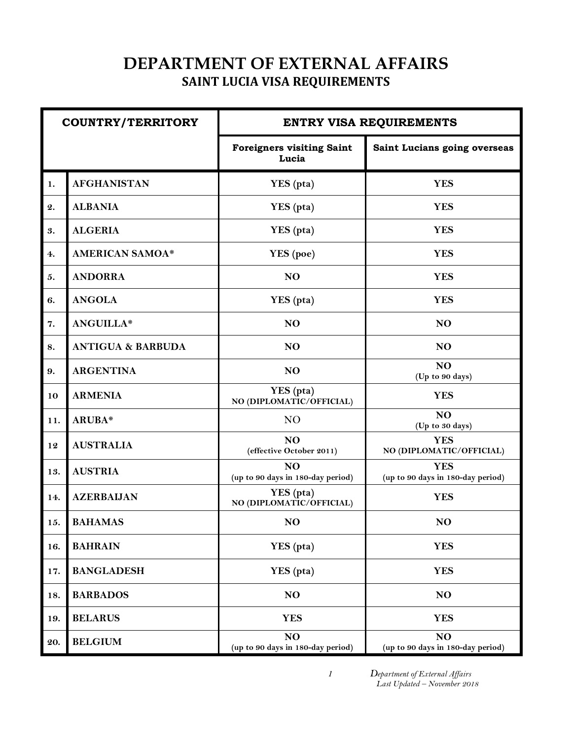## **DEPARTMENT OF EXTERNAL AFFAIRS** **SAINT LUCIA VISA REQUIREMENTS**

| <b>COUNTRY/TERRITORY</b> |                              |                                                     | <b>ENTRY VISA REQUIREMENTS</b>                      |
|--------------------------|------------------------------|-----------------------------------------------------|-----------------------------------------------------|
|                          |                              | <b>Foreigners visiting Saint</b><br>Lucia           | Saint Lucians going overseas                        |
| 1.                       | <b>AFGHANISTAN</b>           | YES (pta)                                           | <b>YES</b>                                          |
| $\mathbf{2.}$            | <b>ALBANIA</b>               | YES (pta)                                           | <b>YES</b>                                          |
| 3.                       | <b>ALGERIA</b>               | YES (pta)                                           | <b>YES</b>                                          |
| 4.                       | <b>AMERICAN SAMOA*</b>       | YES (poe)                                           | <b>YES</b>                                          |
| 5.                       | <b>ANDORRA</b>               | N <sub>O</sub>                                      | <b>YES</b>                                          |
| 6.                       | <b>ANGOLA</b>                | YES (pta)                                           | <b>YES</b>                                          |
| 7.                       | ANGUILLA*                    | NO                                                  | N <sub>O</sub>                                      |
| 8.                       | <b>ANTIGUA &amp; BARBUDA</b> | NO                                                  | N <sub>O</sub>                                      |
| 9.                       | <b>ARGENTINA</b>             | N <sub>O</sub>                                      | NO<br>(Up to 90 days)                               |
| 10                       | <b>ARMENIA</b>               | YES (pta)<br>NO (DIPLOMATIC/OFFICIAL)               | <b>YES</b>                                          |
| 11.                      | ARUBA*                       | N <sub>O</sub>                                      | N <sub>O</sub><br>(Up to 30 days)                   |
| 12                       | <b>AUSTRALIA</b>             | NO<br>(effective October 2011)                      | <b>YES</b><br>NO (DIPLOMATIC/OFFICIAL)              |
| 13.                      | <b>AUSTRIA</b>               | N <sub>O</sub><br>(up to 90 days in 180-day period) | <b>YES</b><br>(up to 90 days in 180-day period)     |
| 14.                      | <b>AZERBAIJAN</b>            | YES (pta)<br>NO (DIPLOMATIC/OFFICIAL)               | <b>YES</b>                                          |
| 15.                      | <b>BAHAMAS</b>               | NO                                                  | N <sub>O</sub>                                      |
| 16.                      | <b>BAHRAIN</b>               | YES (pta)                                           | <b>YES</b>                                          |
| 17.                      | <b>BANGLADESH</b>            | YES (pta)                                           | <b>YES</b>                                          |
| 18.                      | <b>BARBADOS</b>              | NO                                                  | N <sub>O</sub>                                      |
| 19.                      | <b>BELARUS</b>               | <b>YES</b>                                          | <b>YES</b>                                          |
| 20.                      | <b>BELGIUM</b>               | NO<br>(up to 90 days in 180-day period)             | N <sub>O</sub><br>(up to 90 days in 180-day period) |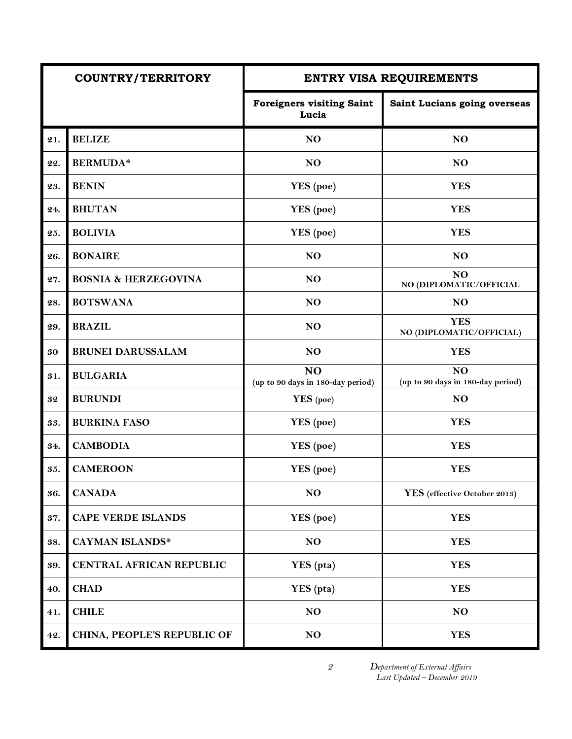|     | <b>COUNTRY/TERRITORY</b>        |                                           | <b>ENTRY VISA REQUIREMENTS</b>                      |
|-----|---------------------------------|-------------------------------------------|-----------------------------------------------------|
|     |                                 | <b>Foreigners visiting Saint</b><br>Lucia | Saint Lucians going overseas                        |
| 21. | <b>BELIZE</b>                   | N <sub>O</sub>                            | N <sub>O</sub>                                      |
| 22. | <b>BERMUDA*</b>                 | N <sub>O</sub>                            | NO                                                  |
| 23. | <b>BENIN</b>                    | YES (poe)                                 | <b>YES</b>                                          |
| 24. | <b>BHUTAN</b>                   | YES (poe)                                 | <b>YES</b>                                          |
| 25. | <b>BOLIVIA</b>                  | YES (poe)                                 | <b>YES</b>                                          |
| 26. | <b>BONAIRE</b>                  | N <sub>O</sub>                            | N <sub>O</sub>                                      |
| 27. | <b>BOSNIA &amp; HERZEGOVINA</b> | N <sub>O</sub>                            | NO<br>NO (DIPLOMATIC/OFFICIAL                       |
| 28. | <b>BOTSWANA</b>                 | N <sub>O</sub>                            | NO                                                  |
| 29. | <b>BRAZIL</b>                   | N <sub>O</sub>                            | <b>YES</b><br>NO (DIPLOMATIC/OFFICIAL)              |
| 30  | <b>BRUNEI DARUSSALAM</b>        | N <sub>O</sub>                            | <b>YES</b>                                          |
| 31. | <b>BULGARIA</b>                 | NO<br>(up to 90 days in 180-day period)   | N <sub>O</sub><br>(up to 90 days in 180-day period) |
| 32  | <b>BURUNDI</b>                  | YES (poe)                                 | NO                                                  |
| 33. | <b>BURKINA FASO</b>             | YES (poe)                                 | <b>YES</b>                                          |
| 34. | <b>CAMBODIA</b>                 | YES (poe)                                 | <b>YES</b>                                          |
| 35. | <b>CAMEROON</b>                 | YES (poe)                                 | <b>YES</b>                                          |
| 36. | <b>CANADA</b>                   | NO                                        | YES (effective October 2013)                        |
| 37. | <b>CAPE VERDE ISLANDS</b>       | YES (poe)                                 | <b>YES</b>                                          |
| 38. | <b>CAYMAN ISLANDS*</b>          | NO                                        | <b>YES</b>                                          |
| 39. | CENTRAL AFRICAN REPUBLIC        | YES (pta)                                 | <b>YES</b>                                          |
| 40. | <b>CHAD</b>                     | YES (pta)                                 | <b>YES</b>                                          |
| 41. | <b>CHILE</b>                    | NO                                        | N <sub>O</sub>                                      |
| 42. | CHINA, PEOPLE'S REPUBLIC OF     | N <sub>O</sub>                            | <b>YES</b>                                          |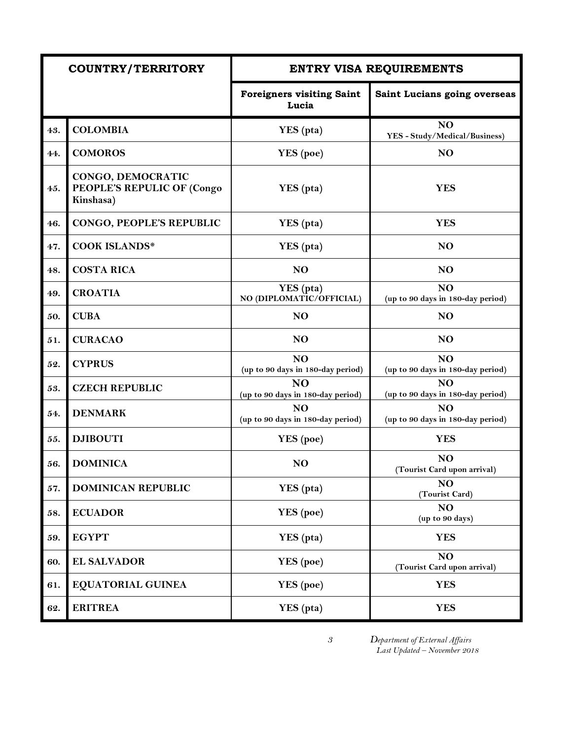|     | <b>COUNTRY/TERRITORY</b>                                     |                                                     | <b>ENTRY VISA REQUIREMENTS</b>                       |
|-----|--------------------------------------------------------------|-----------------------------------------------------|------------------------------------------------------|
|     |                                                              | <b>Foreigners visiting Saint</b><br>Lucia           | Saint Lucians going overseas                         |
| 43. | <b>COLOMBIA</b>                                              | YES (pta)                                           | N <sub>O</sub><br>YES - Study/Medical/Business)      |
| 44. | <b>COMOROS</b>                                               | YES (poe)                                           | NO                                                   |
| 45. | CONGO, DEMOCRATIC<br>PEOPLE'S REPULIC OF (Congo<br>Kinshasa) | YES (pta)                                           | <b>YES</b>                                           |
| 46. | CONGO, PEOPLE'S REPUBLIC                                     | YES (pta)                                           | <b>YES</b>                                           |
| 47. | <b>COOK ISLANDS*</b>                                         | YES (pta)                                           | N <sub>O</sub>                                       |
| 48. | <b>COSTA RICA</b>                                            | N <sub>O</sub>                                      | NO                                                   |
| 49. | <b>CROATIA</b>                                               | YES (pta)<br>NO (DIPLOMATIC/OFFICIAL)               | N <sub>O</sub><br>(up to 90 days in 180-day period)  |
| 50. | <b>CUBA</b>                                                  | N <sub>O</sub>                                      | N <sub>O</sub>                                       |
| 51. | <b>CURACAO</b>                                               | <b>NO</b>                                           | NO                                                   |
| 52. | <b>CYPRUS</b>                                                | N <sub>O</sub><br>(up to 90 days in 180-day period) | N <sub>O</sub><br>(up to 90 days in 180-day period)  |
| 53. | <b>CZECH REPUBLIC</b>                                        | <b>NO</b><br>(up to 90 days in 180-day period)      | NO <sub>1</sub><br>(up to 90 days in 180-day period) |
| 54. | <b>DENMARK</b>                                               | N <sub>O</sub><br>(up to 90 days in 180-day period) | N <sub>O</sub><br>(up to 90 days in 180-day period)  |
| 55. | <b>DJIBOUTI</b>                                              | YES (poe)                                           | <b>YES</b>                                           |
| 56. | <b>DOMINICA</b>                                              | NO                                                  | N <sub>O</sub><br>(Tourist Card upon arrival)        |
| 57. | <b>DOMINICAN REPUBLIC</b>                                    | YES (pta)                                           | NO<br>(Tourist Card)                                 |
| 58. | <b>ECUADOR</b>                                               | YES (poe)                                           | NO<br>(up to 90 days)                                |
| 59. | <b>EGYPT</b>                                                 | YES (pta)                                           | <b>YES</b>                                           |
| 60. | <b>EL SALVADOR</b>                                           | YES (poe)                                           | NO<br>(Tourist Card upon arrival)                    |
| 61. | <b>EQUATORIAL GUINEA</b>                                     | YES (poe)                                           | <b>YES</b>                                           |
| 62. | <b>ERITREA</b>                                               | YES (pta)                                           | <b>YES</b>                                           |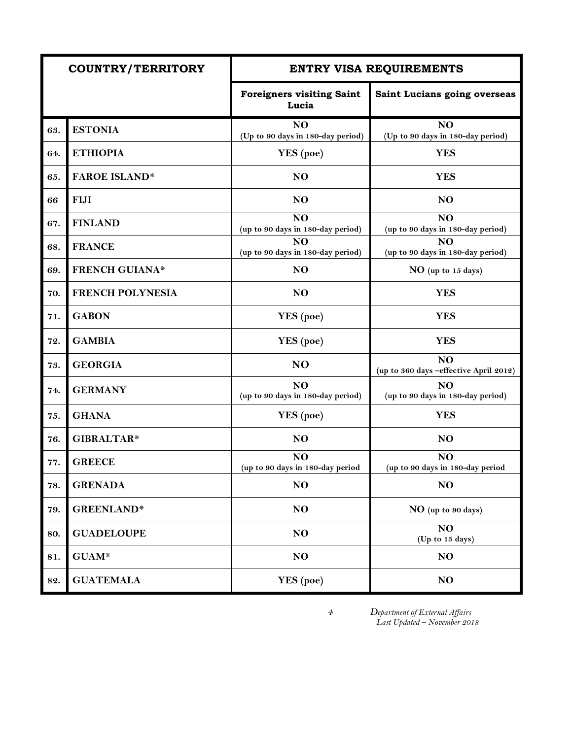|     | <b>COUNTRY/TERRITORY</b> |                                                      | <b>ENTRY VISA REQUIREMENTS</b>                           |
|-----|--------------------------|------------------------------------------------------|----------------------------------------------------------|
|     |                          | <b>Foreigners visiting Saint</b><br>Lucia            | Saint Lucians going overseas                             |
| 63. | <b>ESTONIA</b>           | N <sub>O</sub><br>(Up to 90 days in 180-day period)  | N <sub>O</sub><br>(Up to 90 days in 180-day period)      |
| 64. | <b>ETHIOPIA</b>          | YES (poe)                                            | <b>YES</b>                                               |
| 65. | <b>FAROE ISLAND*</b>     | NO                                                   | <b>YES</b>                                               |
| 66  | <b>FIJI</b>              | NO                                                   | NO                                                       |
| 67. | <b>FINLAND</b>           | NO<br>(up to 90 days in 180-day period)              | NO<br>(up to 90 days in 180-day period)                  |
| 68. | <b>FRANCE</b>            | NO <sub>1</sub><br>(up to 90 days in 180-day period) | N <sub>O</sub><br>(up to 90 days in 180-day period)      |
| 69. | <b>FRENCH GUIANA*</b>    | NO                                                   | NO (up to 15 days)                                       |
| 70. | <b>FRENCH POLYNESIA</b>  | N <sub>O</sub>                                       | <b>YES</b>                                               |
| 71. | <b>GABON</b>             | YES (poe)                                            | <b>YES</b>                                               |
| 72. | <b>GAMBIA</b>            | YES (poe)                                            | <b>YES</b>                                               |
| 73. | <b>GEORGIA</b>           | N <sub>O</sub>                                       | N <sub>O</sub><br>(up to 360 days -effective April 2012) |
| 74. | <b>GERMANY</b>           | NO<br>(up to 90 days in 180-day period)              | NO<br>(up to 90 days in 180-day period)                  |
| 75. | <b>GHANA</b>             | <b>YES</b> (poe)                                     | <b>YES</b>                                               |
| 76. | GIBRALTAR*               | NO                                                   | N <sub>O</sub>                                           |
| 77. | <b>GREECE</b>            | N <sub>O</sub><br>(up to 90 days in 180-day period   | NO<br>(up to 90 days in 180-day period                   |
| 78. | <b>GRENADA</b>           | NO                                                   | NO                                                       |
| 79. | <b>GREENLAND*</b>        | NO                                                   | NO (up to 90 days)                                       |
| 80. | <b>GUADELOUPE</b>        | NO                                                   | NO<br>(Up to 15 days)                                    |
| 81. | GUAM*                    | NO                                                   | NO                                                       |
| 82. | <b>GUATEMALA</b>         | YES (poe)                                            | NO                                                       |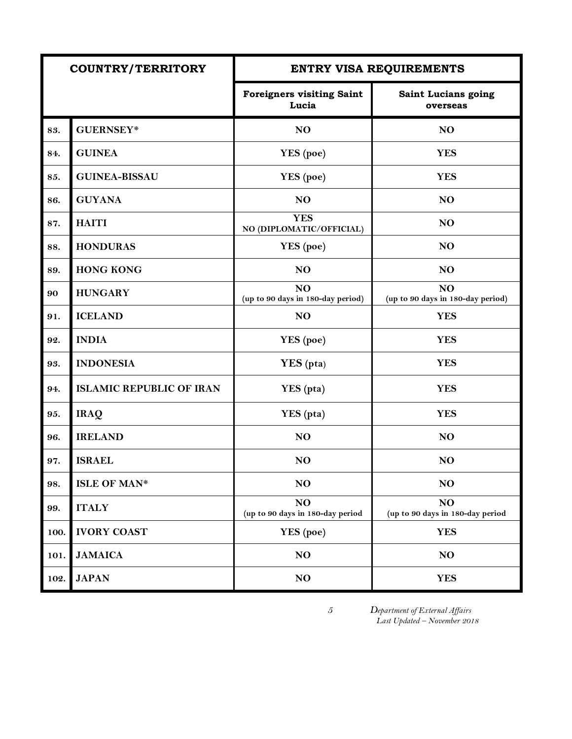|      | <b>COUNTRY/TERRITORY</b>        |                                                     | ENTRY VISA REQUIREMENTS                             |
|------|---------------------------------|-----------------------------------------------------|-----------------------------------------------------|
|      |                                 | <b>Foreigners visiting Saint</b><br>Lucia           | Saint Lucians going<br>overseas                     |
| 83.  | <b>GUERNSEY*</b>                | N <sub>O</sub>                                      | N <sub>O</sub>                                      |
| 84.  | <b>GUINEA</b>                   | YES (poe)                                           | <b>YES</b>                                          |
| 85.  | <b>GUINEA-BISSAU</b>            | YES (poe)                                           | <b>YES</b>                                          |
| 86.  | <b>GUYANA</b>                   | N <sub>O</sub>                                      | N <sub>O</sub>                                      |
| 87.  | <b>HAITI</b>                    | <b>YES</b><br>NO (DIPLOMATIC/OFFICIAL)              | N <sub>O</sub>                                      |
| 88.  | <b>HONDURAS</b>                 | YES (poe)                                           | N <sub>O</sub>                                      |
| 89.  | <b>HONG KONG</b>                | N <sub>O</sub>                                      | N <sub>O</sub>                                      |
| 90   | <b>HUNGARY</b>                  | N <sub>O</sub><br>(up to 90 days in 180-day period) | N <sub>O</sub><br>(up to 90 days in 180-day period) |
| 91.  | <b>ICELAND</b>                  | NO                                                  | <b>YES</b>                                          |
| 92.  | <b>INDIA</b>                    | YES (poe)                                           | <b>YES</b>                                          |
| 93.  | <b>INDONESIA</b>                | YES (pta)                                           | <b>YES</b>                                          |
| 94.  | <b>ISLAMIC REPUBLIC OF IRAN</b> | YES (pta)                                           | <b>YES</b>                                          |
| 95.  | <b>IRAQ</b>                     | YES (pta)                                           | <b>YES</b>                                          |
| 96.  | <b>IRELAND</b>                  | N <sub>O</sub>                                      | N <sub>O</sub>                                      |
| 97.  | <b>ISRAEL</b>                   | N <sub>O</sub>                                      | N <sub>O</sub>                                      |
| 98.  | <b>ISLE OF MAN*</b>             | N <sub>O</sub>                                      | NO                                                  |
| 99.  | <b>ITALY</b>                    | NO<br>(up to 90 days in 180-day period              | NO<br>(up to 90 days in 180-day period              |
| 100. | <b>IVORY COAST</b>              | YES (poe)                                           | <b>YES</b>                                          |
| 101. | <b>JAMAICA</b>                  | N <sub>O</sub>                                      | N <sub>O</sub>                                      |
| 102. | <b>JAPAN</b>                    | NO                                                  | <b>YES</b>                                          |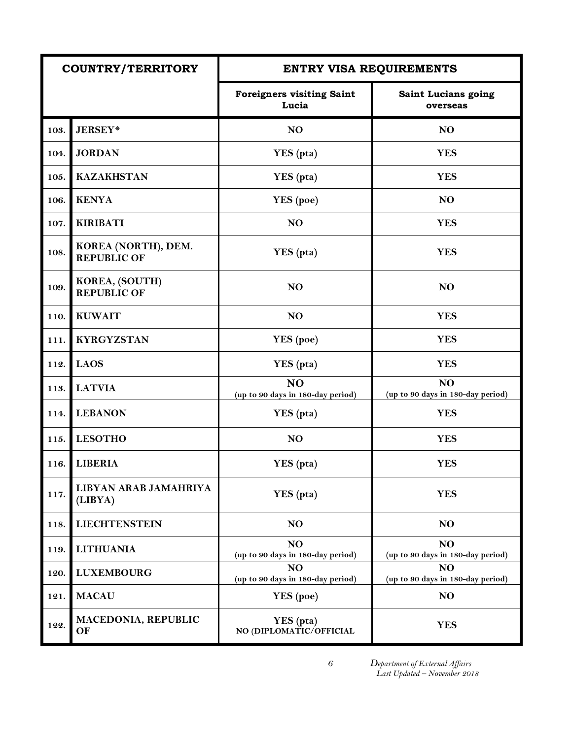| <b>COUNTRY/TERRITORY</b> |                                           | <b>ENTRY VISA REQUIREMENTS</b>                      |                                                     |
|--------------------------|-------------------------------------------|-----------------------------------------------------|-----------------------------------------------------|
|                          |                                           | <b>Foreigners visiting Saint</b><br>Lucia           | Saint Lucians going<br>overseas                     |
| 103.                     | <b>JERSEY*</b>                            | N <sub>O</sub>                                      | N <sub>O</sub>                                      |
| 104.                     | <b>JORDAN</b>                             | YES (pta)                                           | <b>YES</b>                                          |
| 105.                     | <b>KAZAKHSTAN</b>                         | YES (pta)                                           | <b>YES</b>                                          |
| 106.                     | <b>KENYA</b>                              | YES (poe)                                           | N <sub>O</sub>                                      |
| 107.                     | <b>KIRIBATI</b>                           | N <sub>O</sub>                                      | <b>YES</b>                                          |
| 108.                     | KOREA (NORTH), DEM.<br><b>REPUBLIC OF</b> | YES (pta)                                           | <b>YES</b>                                          |
| 109.                     | KOREA, (SOUTH)<br><b>REPUBLIC OF</b>      | N <sub>O</sub>                                      | N <sub>O</sub>                                      |
| 110.                     | <b>KUWAIT</b>                             | NO                                                  | <b>YES</b>                                          |
| 111.                     | <b>KYRGYZSTAN</b>                         | YES (poe)                                           | <b>YES</b>                                          |
| 112.                     | <b>LAOS</b>                               | YES (pta)                                           | <b>YES</b>                                          |
| 113.                     | <b>LATVIA</b>                             | <b>NO</b><br>(up to 90 days in 180-day period)      | N <sub>O</sub><br>(up to 90 days in 180-day period) |
| 114.                     | <b>LEBANON</b>                            | YES (pta)                                           | <b>YES</b>                                          |
| 115.                     | <b>LESOTHO</b>                            | N <sub>O</sub>                                      | <b>YES</b>                                          |
| 116.                     | <b>LIBERIA</b>                            | YES (pta)                                           | <b>YES</b>                                          |
| 117.                     | LIBYAN ARAB JAMAHRIYA<br>(LIBYA)          | YES (pta)                                           | <b>YES</b>                                          |
| 118.                     | <b>LIECHTENSTEIN</b>                      | N <sub>O</sub>                                      | N <sub>O</sub>                                      |
| 119.                     | <b>LITHUANIA</b>                          | N <sub>O</sub><br>(up to 90 days in 180-day period) | N <sub>O</sub><br>(up to 90 days in 180-day period) |
| 120.                     | <b>LUXEMBOURG</b>                         | N <sub>O</sub><br>(up to 90 days in 180-day period) | N <sub>O</sub><br>(up to 90 days in 180-day period) |
| 121.                     | <b>MACAU</b>                              | <b>YES</b> (poe)                                    | N <sub>O</sub>                                      |
| 122.                     | MACEDONIA, REPUBLIC<br>OF                 | YES (pta)<br>NO (DIPLOMATIC/OFFICIAL                | <b>YES</b>                                          |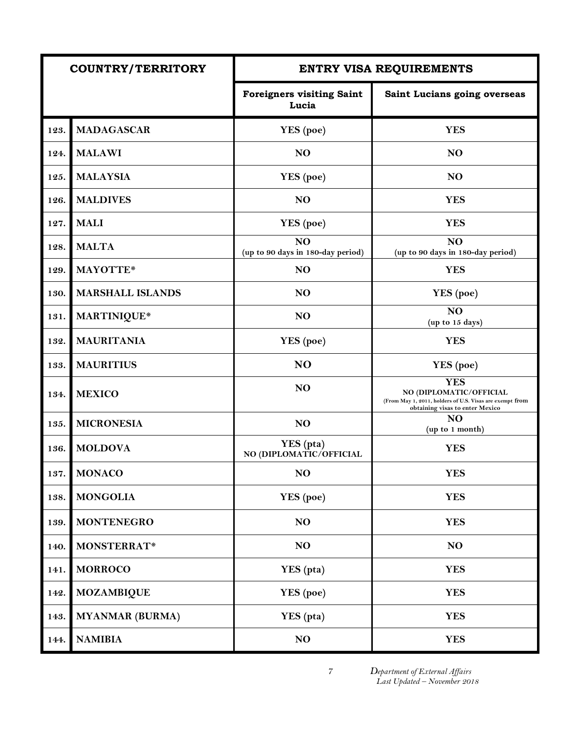| <b>COUNTRY/TERRITORY</b> |                         |                                                     | ENTRY VISA REQUIREMENTS                                                                                                              |
|--------------------------|-------------------------|-----------------------------------------------------|--------------------------------------------------------------------------------------------------------------------------------------|
|                          |                         | <b>Foreigners visiting Saint</b><br>Lucia           | Saint Lucians going overseas                                                                                                         |
| 123.                     | <b>MADAGASCAR</b>       | YES (poe)                                           | <b>YES</b>                                                                                                                           |
| 124.                     | <b>MALAWI</b>           | N <sub>O</sub>                                      | NO                                                                                                                                   |
| 125.                     | <b>MALAYSIA</b>         | YES (poe)                                           | N <sub>O</sub>                                                                                                                       |
| 126.                     | <b>MALDIVES</b>         | N <sub>O</sub>                                      | <b>YES</b>                                                                                                                           |
| 127.                     | <b>MALI</b>             | YES (poe)                                           | <b>YES</b>                                                                                                                           |
| 128.                     | <b>MALTA</b>            | N <sub>O</sub><br>(up to 90 days in 180-day period) | N <sub>O</sub><br>(up to 90 days in 180-day period)                                                                                  |
| 129.                     | MAYOTTE*                | N <sub>O</sub>                                      | <b>YES</b>                                                                                                                           |
| 130.                     | <b>MARSHALL ISLANDS</b> | N <sub>O</sub>                                      | YES (poe)                                                                                                                            |
| 131.                     | MARTINIQUE*             | N <sub>O</sub>                                      | N <sub>O</sub><br>(up to 15 days)                                                                                                    |
| 132.                     | <b>MAURITANIA</b>       | YES (poe)                                           | <b>YES</b>                                                                                                                           |
| 133.                     | <b>MAURITIUS</b>        | N <sub>O</sub>                                      | YES (poe)                                                                                                                            |
| 134.                     | <b>MEXICO</b>           | N <sub>O</sub>                                      | <b>YES</b><br>NO (DIPLOMATIC/OFFICIAL<br>(From May 1, 2011, holders of U.S. Visas are exempt from<br>obtaining visas to enter Mexico |
| 135.                     | <b>MICRONESIA</b>       | N <sub>O</sub>                                      | NO<br>(up to 1 month)                                                                                                                |
| 136.                     | <b>MOLDOVA</b>          | YES (pta)<br>NO (DIPLOMATIC/OFFICIAL                | <b>YES</b>                                                                                                                           |
| 137.                     | <b>MONACO</b>           | N <sub>O</sub>                                      | <b>YES</b>                                                                                                                           |
| 138.                     | <b>MONGOLIA</b>         | YES (poe)                                           | <b>YES</b>                                                                                                                           |
| 139.                     | <b>MONTENEGRO</b>       | NO                                                  | <b>YES</b>                                                                                                                           |
| 140.                     | MONSTERRAT*             | NO                                                  | NO                                                                                                                                   |
| 141.                     | <b>MORROCO</b>          | YES (pta)                                           | <b>YES</b>                                                                                                                           |
| 142.                     | <b>MOZAMBIQUE</b>       | YES (poe)                                           | <b>YES</b>                                                                                                                           |
| 143.                     | <b>MYANMAR (BURMA)</b>  | YES (pta)                                           | <b>YES</b>                                                                                                                           |
| 144.                     | <b>NAMIBIA</b>          | NO                                                  | <b>YES</b>                                                                                                                           |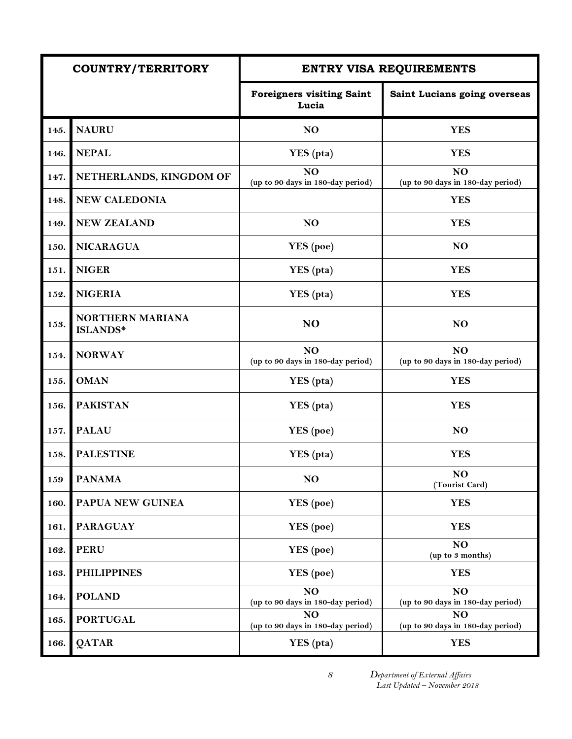|      | <b>COUNTRY/TERRITORY</b>            |                                                     | <b>ENTRY VISA REQUIREMENTS</b>          |
|------|-------------------------------------|-----------------------------------------------------|-----------------------------------------|
|      |                                     | <b>Foreigners visiting Saint</b><br>Lucia           | Saint Lucians going overseas            |
| 145. | <b>NAURU</b>                        | NO                                                  | <b>YES</b>                              |
| 146. | <b>NEPAL</b>                        | YES (pta)                                           | <b>YES</b>                              |
| 147. | NETHERLANDS, KINGDOM OF             | N <sub>O</sub><br>(up to 90 days in 180-day period) | NO<br>(up to 90 days in 180-day period) |
| 148. | NEW CALEDONIA                       |                                                     | <b>YES</b>                              |
| 149. | <b>NEW ZEALAND</b>                  | N <sub>O</sub>                                      | <b>YES</b>                              |
| 150. | <b>NICARAGUA</b>                    | YES (poe)                                           | N <sub>O</sub>                          |
| 151. | <b>NIGER</b>                        | YES (pta)                                           | <b>YES</b>                              |
| 152. | <b>NIGERIA</b>                      | YES (pta)                                           | <b>YES</b>                              |
| 153. | NORTHERN MARIANA<br><b>ISLANDS*</b> | N <sub>O</sub>                                      | N <sub>O</sub>                          |
| 154. | <b>NORWAY</b>                       | N <sub>O</sub><br>(up to 90 days in 180-day period) | NO<br>(up to 90 days in 180-day period) |
| 155. | <b>OMAN</b>                         | YES (pta)                                           | <b>YES</b>                              |
| 156. | <b>PAKISTAN</b>                     | YES (pta)                                           | <b>YES</b>                              |
| 157. | <b>PALAU</b>                        | <b>YES</b> (poe)                                    | N <sub>O</sub>                          |
| 158. | <b>PALESTINE</b>                    | YES (pta)                                           | <b>YES</b>                              |
| 159  | <b>PANAMA</b>                       | N <sub>O</sub>                                      | NO<br>(Tourist Card)                    |
| 160. | PAPUA NEW GUINEA                    | <b>YES</b> (poe)                                    | <b>YES</b>                              |
| 161. | <b>PARAGUAY</b>                     | <b>YES</b> (poe)                                    | <b>YES</b>                              |
| 162. | <b>PERU</b>                         | <b>YES</b> (poe)                                    | NO<br>(up to 3 months)                  |
| 163. | <b>PHILIPPINES</b>                  | YES (poe)                                           | <b>YES</b>                              |
| 164. | <b>POLAND</b>                       | NO<br>(up to 90 days in 180-day period)             | NO<br>(up to 90 days in 180-day period) |
| 165. | <b>PORTUGAL</b>                     | N <sub>O</sub><br>(up to 90 days in 180-day period) | NO<br>(up to 90 days in 180-day period) |
| 166. | <b>QATAR</b>                        | YES (pta)                                           | <b>YES</b>                              |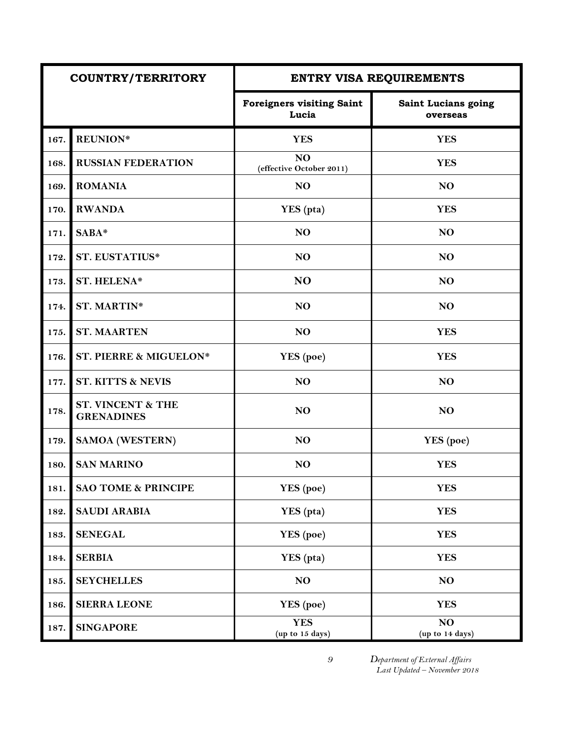| <b>COUNTRY/TERRITORY</b> |                                                   |                                            | <b>ENTRY VISA REQUIREMENTS</b>  |
|--------------------------|---------------------------------------------------|--------------------------------------------|---------------------------------|
|                          |                                                   | <b>Foreigners visiting Saint</b><br>Lucia  | Saint Lucians going<br>overseas |
| 167.                     | <b>REUNION*</b>                                   | <b>YES</b>                                 | <b>YES</b>                      |
| 168.                     | <b>RUSSIAN FEDERATION</b>                         | N <sub>O</sub><br>(effective October 2011) | <b>YES</b>                      |
| 169.                     | <b>ROMANIA</b>                                    | NO                                         | NO                              |
| 170.                     | <b>RWANDA</b>                                     | YES (pta)                                  | <b>YES</b>                      |
| 171.                     | SABA*                                             | N <sub>O</sub>                             | N <sub>O</sub>                  |
| 172.                     | <b>ST. EUSTATIUS*</b>                             | NO                                         | NO                              |
| 173.                     | ST. HELENA*                                       | NO                                         | NO                              |
| 174.                     | <b>ST. MARTIN*</b>                                | N <sub>O</sub>                             | N <sub>O</sub>                  |
| 175.                     | <b>ST. MAARTEN</b>                                | N <sub>O</sub>                             | <b>YES</b>                      |
| 176.                     | ST. PIERRE & MIGUELON*                            | YES (poe)                                  | <b>YES</b>                      |
| 177.                     | <b>ST. KITTS &amp; NEVIS</b>                      | NO                                         | NO                              |
| 178.                     | <b>ST. VINCENT &amp; THE</b><br><b>GRENADINES</b> | NO                                         | NO                              |
| 179.                     | <b>SAMOA (WESTERN)</b>                            | NO                                         | YES (poe)                       |
| 180.                     | <b>SAN MARINO</b>                                 | NO                                         | <b>YES</b>                      |
| 181.                     | <b>SAO TOME &amp; PRINCIPE</b>                    | YES (poe)                                  | <b>YES</b>                      |
| 182.                     | <b>SAUDI ARABIA</b>                               | YES (pta)                                  | <b>YES</b>                      |
| 183.                     | <b>SENEGAL</b>                                    | YES (poe)                                  | <b>YES</b>                      |
| 184.                     | <b>SERBIA</b>                                     | YES (pta)                                  | <b>YES</b>                      |
| 185.                     | <b>SEYCHELLES</b>                                 | NO                                         | NO                              |
| 186.                     | <b>SIERRA LEONE</b>                               | YES (poe)                                  | <b>YES</b>                      |
| 187.                     | <b>SINGAPORE</b>                                  | <b>YES</b><br>(up to 15 days)              | NO<br>(up to 14 days)           |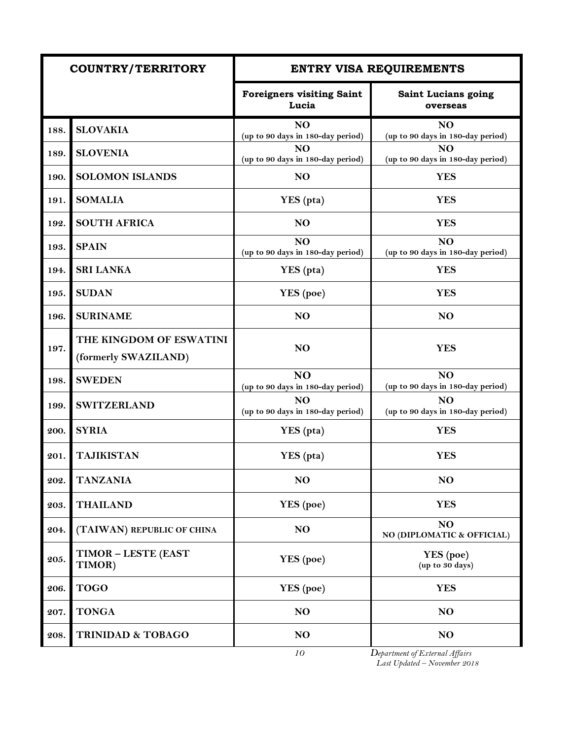|      | <b>COUNTRY/TERRITORY</b>                        |                                                     | <b>ENTRY VISA REQUIREMENTS</b>                       |
|------|-------------------------------------------------|-----------------------------------------------------|------------------------------------------------------|
|      |                                                 | <b>Foreigners visiting Saint</b><br>Lucia           | <b>Saint Lucians going</b><br>overseas               |
| 188. | <b>SLOVAKIA</b>                                 | N <sub>O</sub><br>(up to 90 days in 180-day period) | NO <sub>1</sub><br>(up to 90 days in 180-day period) |
| 189. | <b>SLOVENIA</b>                                 | N <sub>O</sub><br>(up to 90 days in 180-day period) | N <sub>O</sub><br>(up to 90 days in 180-day period)  |
| 190. | <b>SOLOMON ISLANDS</b>                          | N <sub>O</sub>                                      | <b>YES</b>                                           |
| 191. | <b>SOMALIA</b>                                  | YES (pta)                                           | <b>YES</b>                                           |
| 192. | <b>SOUTH AFRICA</b>                             | N <sub>O</sub>                                      | <b>YES</b>                                           |
| 193. | <b>SPAIN</b>                                    | NO.<br>(up to 90 days in 180-day period)            | NO<br>(up to 90 days in 180-day period)              |
| 194. | <b>SRI LANKA</b>                                | YES (pta)                                           | <b>YES</b>                                           |
| 195. | <b>SUDAN</b>                                    | YES (poe)                                           | <b>YES</b>                                           |
| 196. | <b>SURINAME</b>                                 | N <sub>O</sub>                                      | <b>NO</b>                                            |
| 197. | THE KINGDOM OF ESWATINI<br>(formerly SWAZILAND) | N <sub>O</sub>                                      | <b>YES</b>                                           |
| 198. | <b>SWEDEN</b>                                   | N <sub>O</sub><br>(up to 90 days in 180-day period) | NO<br>(up to 90 days in 180-day period)              |
| 199. | <b>SWITZERLAND</b>                              | NO<br>(up to 90 days in 180-day period)             | NO<br>(up to 90 days in 180-day period)              |
| 200. | <b>SYRIA</b>                                    | YES (pta)                                           | <b>YES</b>                                           |
| 201. | <b>TAJIKISTAN</b>                               | YES (pta)                                           | <b>YES</b>                                           |
| 202. | <b>TANZANIA</b>                                 | N <sub>O</sub>                                      | N <sub>O</sub>                                       |
| 203. | <b>THAILAND</b>                                 | YES (poe)                                           | <b>YES</b>                                           |
| 204. | (TAIWAN) REPUBLIC OF CHINA                      | N <sub>O</sub>                                      | NO<br>NO (DIPLOMATIC & OFFICIAL)                     |
| 205. | <b>TIMOR - LESTE (EAST</b><br>TIMOR)            | YES (poe)                                           | YES (poe)<br>(up to 30 days)                         |
| 206. | <b>TOGO</b>                                     | YES (poe)                                           | <b>YES</b>                                           |
| 207. | <b>TONGA</b>                                    | N <sub>O</sub>                                      | N <sub>O</sub>                                       |
| 208. | <b>TRINIDAD &amp; TOBAGO</b>                    | N <sub>O</sub>                                      | N <sub>O</sub>                                       |
|      |                                                 | 10                                                  | Department of External Affairs                       |

 *Last Updated – November 2018*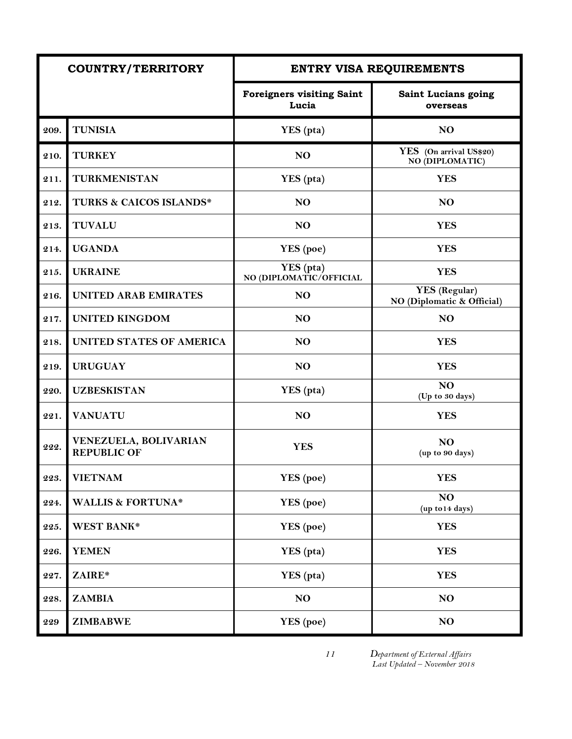|      | <b>COUNTRY/TERRITORY</b>                    |                                           | <b>ENTRY VISA REQUIREMENTS</b>                     |
|------|---------------------------------------------|-------------------------------------------|----------------------------------------------------|
|      |                                             | <b>Foreigners visiting Saint</b><br>Lucia | Saint Lucians going<br>overseas                    |
| 209. | <b>TUNISIA</b>                              | YES (pta)                                 | N <sub>O</sub>                                     |
| 210. | <b>TURKEY</b>                               | NO                                        | YES (On arrival US\$20)<br>NO (DIPLOMATIC)         |
| 211. | <b>TURKMENISTAN</b>                         | YES (pta)                                 | <b>YES</b>                                         |
| 212. | <b>TURKS &amp; CAICOS ISLANDS*</b>          | N <sub>O</sub>                            | N <sub>O</sub>                                     |
| 213. | <b>TUVALU</b>                               | N <sub>O</sub>                            | <b>YES</b>                                         |
| 214. | <b>UGANDA</b>                               | YES (poe)                                 | <b>YES</b>                                         |
| 215. | <b>UKRAINE</b>                              | YES (pta)<br>NO (DIPLOMATIC/OFFICIAL      | <b>YES</b>                                         |
| 216. | <b>UNITED ARAB EMIRATES</b>                 | NO                                        | <b>YES</b> (Regular)<br>NO (Diplomatic & Official) |
| 217. | <b>UNITED KINGDOM</b>                       | NO                                        | NO                                                 |
| 218. | UNITED STATES OF AMERICA                    | NO                                        | <b>YES</b>                                         |
| 219. | <b>URUGUAY</b>                              | N <sub>O</sub>                            | <b>YES</b>                                         |
| 220. | <b>UZBESKISTAN</b>                          | YES (pta)                                 | NO<br>(Up to 30 days)                              |
| 221. | <b>VANUATU</b>                              | NO                                        | <b>YES</b>                                         |
| 222. | VENEZUELA, BOLIVARIAN<br><b>REPUBLIC OF</b> | <b>YES</b>                                | N <sub>O</sub><br>(up to 90 days)                  |
| 223. | <b>VIETNAM</b>                              | YES (poe)                                 | <b>YES</b>                                         |
| 224. | <b>WALLIS &amp; FORTUNA*</b>                | YES (poe)                                 | NO<br>(up to 14 days)                              |
| 225. | WEST BANK*                                  | YES (poe)                                 | <b>YES</b>                                         |
| 226. | <b>YEMEN</b>                                | YES (pta)                                 | <b>YES</b>                                         |
| 227. | ZAIRE*                                      | YES (pta)                                 | <b>YES</b>                                         |
| 228. | <b>ZAMBIA</b>                               | N <sub>O</sub>                            | NO                                                 |
| 229  | <b>ZIMBABWE</b>                             | YES (poe)                                 | NO                                                 |